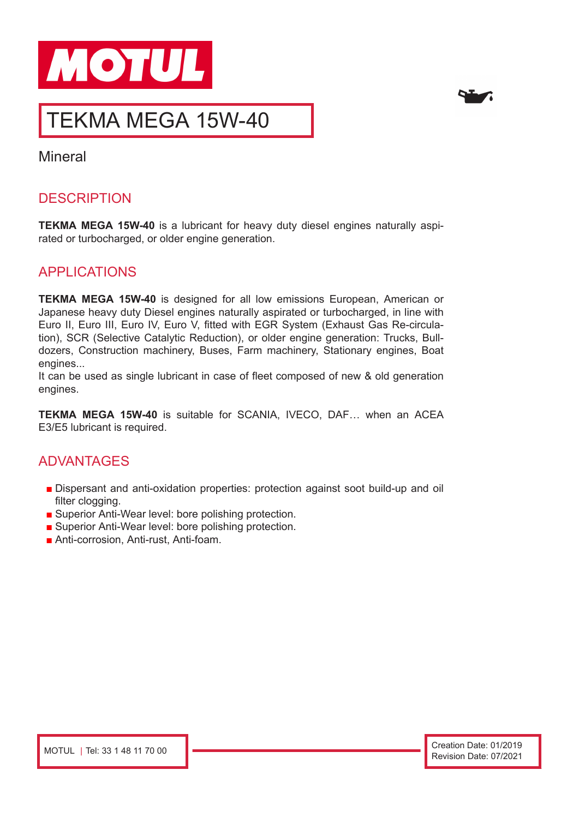



# TEKMA MEGA 15W-40

**Mineral** 

## **DESCRIPTION**

**TEKMA MEGA 15W-40** is a lubricant for heavy duty diesel engines naturally aspirated or turbocharged, or older engine generation.

#### APPLICATIONS

**TEKMA MEGA 15W-40** is designed for all low emissions European, American or Japanese heavy duty Diesel engines naturally aspirated or turbocharged, in line with Euro II, Euro III, Euro IV, Euro V, fitted with EGR System (Exhaust Gas Re-circulation), SCR (Selective Catalytic Reduction), or older engine generation: Trucks, Bulldozers, Construction machinery, Buses, Farm machinery, Stationary engines, Boat engines...

It can be used as single lubricant in case of fleet composed of new & old generation engines.

**TEKMA MEGA 15W-40** is suitable for SCANIA, IVECO, DAF… when an ACEA E3/E5 lubricant is required.

#### ADVANTAGES

- Dispersant and anti-oxidation properties: protection against soot build-up and oil filter clogging.
- Superior Anti-Wear level: bore polishing protection.
- Superior Anti-Wear level: bore polishing protection.
- Anti-corrosion, Anti-rust, Anti-foam.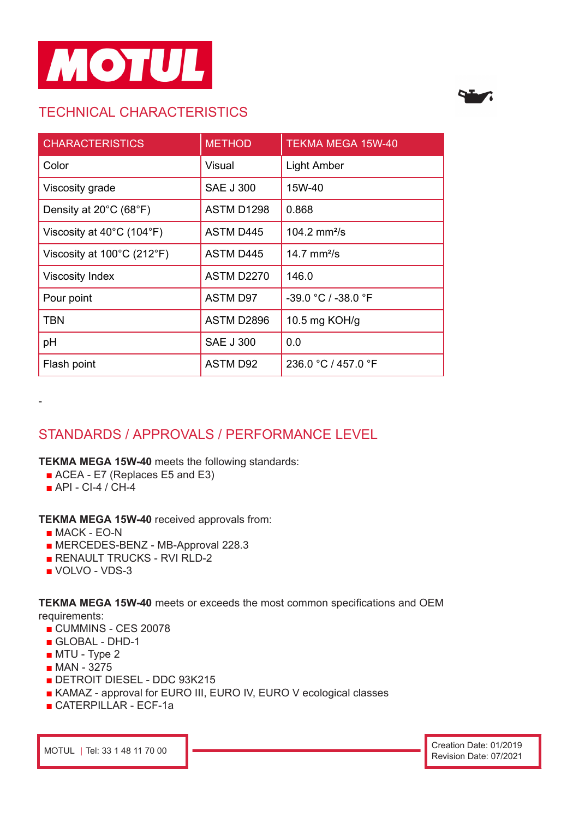

# TECHNICAL CHARACTERISTICS



| <b>CHARACTERISTICS</b>                          | <b>METHOD</b>     | TEKMA MEGA 15W-40   |
|-------------------------------------------------|-------------------|---------------------|
| Color                                           | Visual            | <b>Light Amber</b>  |
| Viscosity grade                                 | <b>SAE J 300</b>  | 15W-40              |
| Density at $20^{\circ}$ C (68 $^{\circ}$ F)     | <b>ASTM D1298</b> | 0.868               |
| Viscosity at $40^{\circ}$ C (104 $^{\circ}$ F)  | ASTM D445         | 104.2 $mm^2/s$      |
| Viscosity at $100^{\circ}$ C (212 $^{\circ}$ F) | ASTM D445         | 14.7 $mm2/s$        |
| <b>Viscosity Index</b>                          | <b>ASTM D2270</b> | 146.0               |
| Pour point                                      | <b>ASTM D97</b>   | -39.0 °C / -38.0 °F |
| <b>TBN</b>                                      | ASTM D2896        | 10.5 mg $KOH/g$     |
| pH                                              | <b>SAE J 300</b>  | 0.0                 |
| Flash point                                     | ASTM D92          | 236.0 °C / 457.0 °F |

# STANDARDS / APPROVALS / PERFORMANCE LEVEL

**TEKMA MEGA 15W-40** meets the following standards:

- ACEA E7 (Replaces E5 and E3)
- API CI-4 / CH-4

-

**TEKMA MEGA 15W-40** received approvals from:

- MACK EO-N
- MERCEDES-BENZ MB-Approval 228.3
- RENAULT TRUCKS RVI RLD-2
- VOLVO VDS-3

**TEKMA MEGA 15W-40** meets or exceeds the most common specifications and OEM requirements:

- CUMMINS CES 20078
- GLOBAL DHD-1
- MTU Type 2
- MAN 3275
- DETROIT DIESEL DDC 93K215
- KAMAZ approval for EURO III, EURO IV, EURO V ecological classes
- CATERPILLAR ECF-1a